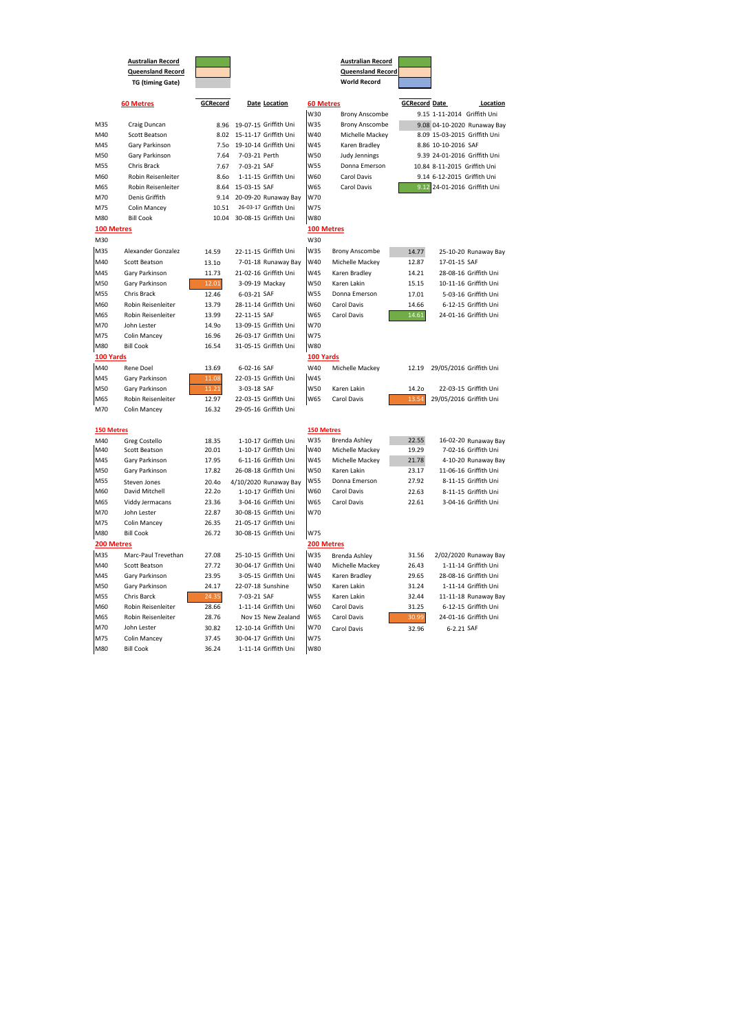|                   | <b>Australian Record</b><br><b>Queensland Record</b><br><b>TG (timing Gate)</b> |                 |                       |                   | <b>Australian Record</b><br><b>Queensland Record</b><br><b>World Record</b> |                      |                              |
|-------------------|---------------------------------------------------------------------------------|-----------------|-----------------------|-------------------|-----------------------------------------------------------------------------|----------------------|------------------------------|
|                   | <b>60 Metres</b>                                                                | <b>GCRecord</b> | Date Location         | <b>60 Metres</b>  |                                                                             | <b>GCRecord Date</b> | Location                     |
|                   |                                                                                 |                 |                       | W30               | <b>Brony Anscombe</b>                                                       |                      | 9.15 1-11-2014 Griffith Uni  |
| M35               | Craig Duncan                                                                    | 8.96            | 19-07-15 Griffith Uni | W35               | <b>Brony Anscombe</b>                                                       |                      | 9.08 04-10-2020 Runaway Bay  |
| M40               | <b>Scott Beatson</b>                                                            | 8.02            | 15-11-17 Griffith Uni | W40               | Michelle Mackey                                                             |                      | 8.09 15-03-2015 Griffith Uni |
| M45               | Gary Parkinson                                                                  | 7.5o            | 19-10-14 Griffith Uni | W45               | Karen Bradley                                                               |                      | 8.86 10-10-2016 SAF          |
| M50               | Gary Parkinson                                                                  | 7.64            | 7-03-21 Perth         | W50               | <b>Judy Jennings</b>                                                        |                      | 9.39 24-01-2016 Griffith Uni |
| M55               | Chris Brack                                                                     | 7.67            | 7-03-21 SAF           | W55               | Donna Emerson                                                               |                      | 10.84 8-11-2015 Griffith Uni |
| M60               | Robin Reisenleiter                                                              | 8.60            | 1-11-15 Griffith Uni  | W60               | <b>Carol Davis</b>                                                          |                      | 9.14 6-12-2015 Griffith Uni  |
| M65               | Robin Reisenleiter                                                              | 8.64            | 15-03-15 SAF          | W65               | Carol Davis                                                                 | 9.12                 | 24-01-2016 Griffith Uni      |
| M70               | Denis Griffith                                                                  | 9.14            | 20-09-20 Runaway Bay  | W70               |                                                                             |                      |                              |
| M75               | Colin Mancey                                                                    | 10.51           | 26-03-17 Griffith Uni | W75               |                                                                             |                      |                              |
| M80               | <b>Bill Cook</b>                                                                | 10.04           | 30-08-15 Griffith Uni | W80               |                                                                             |                      |                              |
| 100 Metres<br>M30 |                                                                                 |                 |                       | W30               | <b>100 Metres</b>                                                           |                      |                              |
| M35               | Alexander Gonzalez                                                              | 14.59           | 22-11-15 Griffith Uni | W35               | <b>Brony Anscombe</b>                                                       | 14.77                | 25-10-20 Runaway Bay         |
| M40               | <b>Scott Beatson</b>                                                            | 13.10           | 7-01-18 Runaway Bay   | W40               | Michelle Mackey                                                             | 12.87                | 17-01-15 SAF                 |
| M45               | Gary Parkinson                                                                  | 11.73           | 21-02-16 Griffith Uni | W45               | Karen Bradley                                                               | 14.21                | 28-08-16 Griffith Uni        |
| M50               | Gary Parkinson                                                                  | 12.01           | 3-09-19 Mackay        | W50               | Karen Lakin                                                                 | 15.15                | 10-11-16 Griffith Uni        |
| M55               | Chris Brack                                                                     | 12.46           | 6-03-21 SAF           | W55               | Donna Emerson                                                               | 17.01                | 5-03-16 Griffith Uni         |
| M60               | Robin Reisenleiter                                                              | 13.79           | 28-11-14 Griffith Uni | W60               | <b>Carol Davis</b>                                                          | 14.66                | 6-12-15 Griffith Uni         |
| M65               | Robin Reisenleiter                                                              | 13.99           | 22-11-15 SAF          | W65               | <b>Carol Davis</b>                                                          | 14.61                | 24-01-16 Griffith Uni        |
| M70               | John Lester                                                                     | 14.90           | 13-09-15 Griffith Uni | W70               |                                                                             |                      |                              |
| M75               | Colin Mancey                                                                    | 16.96           | 26-03-17 Griffith Uni | W75               |                                                                             |                      |                              |
| M80               | <b>Bill Cook</b>                                                                | 16.54           | 31-05-15 Griffith Uni | W80               |                                                                             |                      |                              |
| 100 Yards         |                                                                                 |                 |                       | 100 Yards         |                                                                             |                      |                              |
| M40               | Rene Doel                                                                       | 13.69           | 6-02-16 SAF           | W40               | Michelle Mackey                                                             | 12.19                | 29/05/2016 Griffith Uni      |
| M45               | Gary Parkinson                                                                  | 11.08           | 22-03-15 Griffith Uni | W45               |                                                                             |                      |                              |
| M50               | Gary Parkinson                                                                  | 11.21           | 3-03-18 SAF           | W50               | Karen Lakin                                                                 | 14.2o                | 22-03-15 Griffith Uni        |
| M65               | Robin Reisenleiter                                                              | 12.97           | 22-03-15 Griffith Uni | W65               | Carol Davis                                                                 | 13.54                | 29/05/2016 Griffith Uni      |
| M70               | <b>Colin Mancey</b>                                                             | 16.32           | 29-05-16 Griffith Uni |                   |                                                                             |                      |                              |
| <b>150 Metres</b> |                                                                                 |                 |                       | <b>150 Metres</b> |                                                                             |                      |                              |
| M40               | Greg Costello                                                                   | 18.35           | 1-10-17 Griffith Uni  | W35               | <b>Brenda Ashley</b>                                                        | 22.55                | 16-02-20 Runaway Bay         |
| M40               | Scott Beatson                                                                   | 20.01           | 1-10-17 Griffith Uni  | W40               | Michelle Mackey                                                             | 19.29                | 7-02-16 Griffith Uni         |
| M45               | Gary Parkinson                                                                  | 17.95           | 6-11-16 Griffith Uni  | W45               | Michelle Mackey                                                             | 21.78                | 4-10-20 Runaway Bay          |
| M50               | Gary Parkinson                                                                  | 17.82           | 26-08-18 Griffith Uni | W50               | Karen Lakin                                                                 | 23.17                | 11-06-16 Griffith Uni        |
| M55               | Steven Jones                                                                    | 20.40           | 4/10/2020 Runaway Bay | W55               | Donna Emerson                                                               | 27.92                | 8-11-15 Griffith Uni         |
| M60               | David Mitchell                                                                  | 22.20           | 1-10-17 Griffith Uni  | W60               | Carol Davis                                                                 | 22.63                | 8-11-15 Griffith Uni         |
| M65               | Viddy Jermacans                                                                 | 23.36           | 3-04-16 Griffith Uni  | W65               | Carol Davis                                                                 | 22.61                | 3-04-16 Griffith Uni         |
| M70               | John Lester                                                                     | 22.87           | 30-08-15 Griffith Uni | W70               |                                                                             |                      |                              |
| M75               | Colin Mancey                                                                    | 26.35           | 21-05-17 Griffith Uni |                   |                                                                             |                      |                              |
| M80               | <b>Bill Cook</b>                                                                | 26.72           | 30-08-15 Griffith Uni | W75               |                                                                             |                      |                              |
| 200 Metres        |                                                                                 |                 |                       |                   | 200 Metres                                                                  |                      |                              |
| M35               | Marc-Paul Trevethan                                                             | 27.08           | 25-10-15 Griffith Uni | W35               | Brenda Ashley                                                               | 31.56                | 2/02/2020 Runaway Bay        |
| M40               | Scott Beatson                                                                   | 27.72           | 30-04-17 Griffith Uni | W40               | Michelle Mackey                                                             | 26.43                | 1-11-14 Griffith Uni         |
| M45               | Gary Parkinson                                                                  | 23.95           | 3-05-15 Griffith Uni  | W45               | Karen Bradley                                                               | 29.65                | 28-08-16 Griffith Uni        |
| M50               | Gary Parkinson                                                                  | 24.17           | 22-07-18 Sunshine     | W50               | Karen Lakin                                                                 | 31.24                | 1-11-14 Griffith Uni         |
| M55               | Chris Barck                                                                     | 24.35           | 7-03-21 SAF           | W55               | Karen Lakin                                                                 | 32.44                | 11-11-18 Runaway Bay         |
| M60               | Robin Reisenleiter                                                              | 28.66           | 1-11-14 Griffith Uni  | W60               | Carol Davis                                                                 | 31.25                | 6-12-15 Griffith Uni         |
| M65               | Robin Reisenleiter                                                              | 28.76           | Nov 15 New Zealand    | W65               | Carol Davis                                                                 | 30.99                | 24-01-16 Griffith Uni        |
| M70               | John Lester                                                                     | 30.82           | 12-10-14 Griffith Uni | W70               | Carol Davis                                                                 | 32.96                | 6-2.21 SAF                   |
| M75               | <b>Colin Mancey</b>                                                             | 37.45           | 30-04-17 Griffith Uni | W75               |                                                                             |                      |                              |
| M80               | <b>Bill Cook</b>                                                                | 36.24           | 1-11-14 Griffith Uni  | W80               |                                                                             |                      |                              |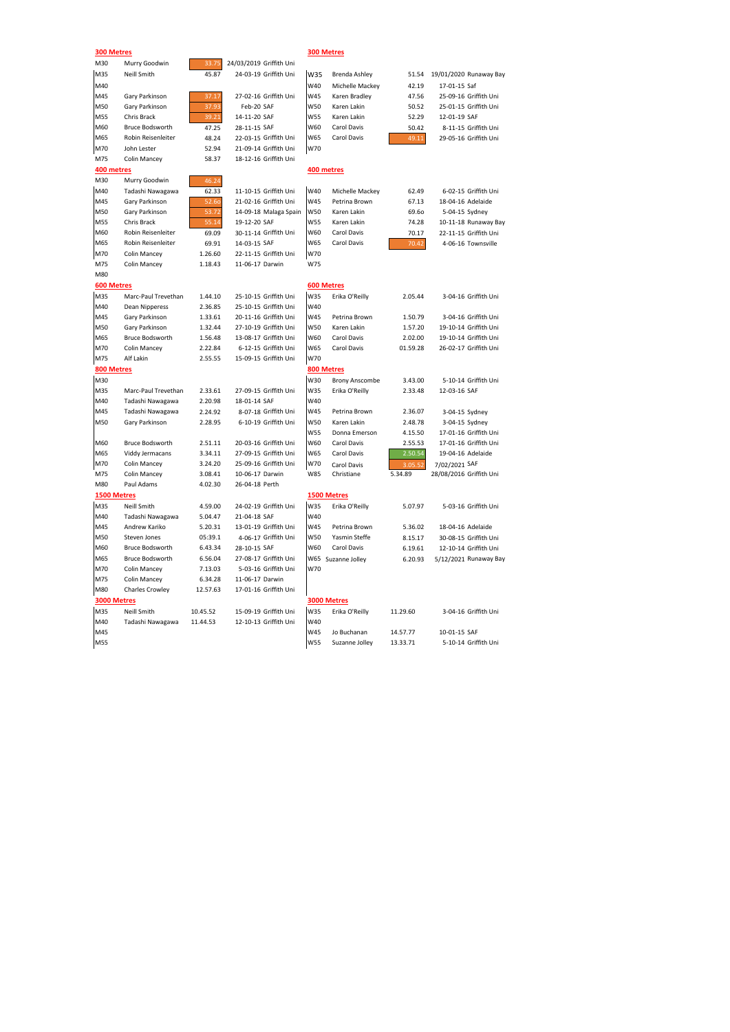| 300 Metres        |                                   |          |                         |            | 300 Metres                |                    |                         |  |
|-------------------|-----------------------------------|----------|-------------------------|------------|---------------------------|--------------------|-------------------------|--|
| M30               | Murry Goodwin                     | 33.75    | 24/03/2019 Griffith Uni |            |                           |                    |                         |  |
| M35               | <b>Neill Smith</b>                | 45.87    | 24-03-19 Griffith Uni   | W35        | Brenda Ashley             | 51.54              | 19/01/2020 Runaway Bay  |  |
| M40               |                                   |          |                         | W40        | Michelle Mackey           | 42.19              | 17-01-15 Saf            |  |
| M45               | Gary Parkinson                    | 37.17    | 27-02-16 Griffith Uni   | <b>W45</b> | Karen Bradley             | 47.56              | 25-09-16 Griffith Uni   |  |
| M50               | Gary Parkinson                    | 37.93    | Feb-20 SAF              | W50        | Karen Lakin               | 50.52              | 25-01-15 Griffith Uni   |  |
| M55               | Chris Brack                       | 39.21    | 14-11-20 SAF            | <b>W55</b> | Karen Lakin               | 52.29              | 12-01-19 SAF            |  |
| M60               | <b>Bruce Bodsworth</b>            | 47.25    | 28-11-15 SAF            | W60        | Carol Davis               | 50.42              | 8-11-15 Griffith Uni    |  |
| M65               | Robin Reisenleiter                | 48.24    | 22-03-15 Griffith Uni   | W65        | Carol Davis               | 49.11              | 29-05-16 Griffith Uni   |  |
| M70               | John Lester                       | 52.94    | 21-09-14 Griffith Uni   | W70        |                           |                    |                         |  |
| M75               | <b>Colin Mancey</b>               | 58.37    | 18-12-16 Griffith Uni   |            |                           |                    |                         |  |
| 400 metres        |                                   |          |                         |            | 400 metres                |                    |                         |  |
| M30               | Murry Goodwin                     | 46.24    |                         |            |                           |                    |                         |  |
| M40               | Tadashi Nawagawa                  | 62.33    | 11-10-15 Griffith Uni   | W40        | Michelle Mackey           | 62.49              | 6-02-15 Griffith Uni    |  |
| M45               | Gary Parkinson                    | 52.60    | 21-02-16 Griffith Uni   | W45        | Petrina Brown             | 67.13              | 18-04-16 Adelaide       |  |
| M50               | Gary Parkinson                    | 53.72    | 14-09-18 Malaga Spain   | <b>W50</b> | Karen Lakin               | 69.60              | 5-04-15 Sydney          |  |
| M55               | Chris Brack                       | 55.14    | 19-12-20 SAF            | <b>W55</b> | Karen Lakin               | 74.28              | 10-11-18 Runaway Bay    |  |
| M60               | Robin Reisenleiter                | 69.09    | 30-11-14 Griffith Uni   | W60        | Carol Davis               | 70.17              | 22-11-15 Griffith Uni   |  |
| M65               | Robin Reisenleiter                | 69.91    | 14-03-15 SAF            | W65        | Carol Davis               | 70.42              | 4-06-16 Townsville      |  |
| M70               | Colin Mancey                      | 1.26.60  | 22-11-15 Griffith Uni   | W70        |                           |                    |                         |  |
| M75               | <b>Colin Mancey</b>               | 1.18.43  | 11-06-17 Darwin         | W75        |                           |                    |                         |  |
| M80               |                                   |          |                         |            |                           |                    |                         |  |
| <b>600 Metres</b> |                                   |          |                         |            | <b>600 Metres</b>         |                    |                         |  |
| M35               | Marc-Paul Trevethan               | 1.44.10  | 25-10-15 Griffith Uni   | W35        | Erika O'Reilly            | 2.05.44            | 3-04-16 Griffith Uni    |  |
| M40               | Dean Nipperess                    | 2.36.85  | 25-10-15 Griffith Uni   | W40        |                           |                    |                         |  |
| M45               | Gary Parkinson                    | 1.33.61  | 20-11-16 Griffith Uni   | W45        | Petrina Brown             | 1.50.79            | 3-04-16 Griffith Uni    |  |
| M50               | Gary Parkinson                    | 1.32.44  | 27-10-19 Griffith Uni   | W50        | Karen Lakin               | 1.57.20            | 19-10-14 Griffith Uni   |  |
| M65               | <b>Bruce Bodsworth</b>            | 1.56.48  | 13-08-17 Griffith Uni   | W60        | Carol Davis               | 2.02.00            | 19-10-14 Griffith Uni   |  |
| M70               | <b>Colin Mancey</b>               | 2.22.84  | 6-12-15 Griffith Uni    | W65        | Carol Davis               | 01.59.28           | 26-02-17 Griffith Uni   |  |
| M75               | Alf Lakin                         | 2.55.55  | 15-09-15 Griffith Uni   | W70        |                           |                    |                         |  |
| 800 Metres        |                                   |          |                         |            | 800 Metres                |                    |                         |  |
| M30               |                                   |          |                         | W30        | <b>Brony Anscombe</b>     | 3.43.00            | 5-10-14 Griffith Uni    |  |
| M35               | Marc-Paul Trevethan               | 2.33.61  | 27-09-15 Griffith Uni   | W35        | Erika O'Reilly            | 2.33.48            | 12-03-16 SAF            |  |
| M40               | Tadashi Nawagawa                  | 2.20.98  | 18-01-14 SAF            | W40        |                           |                    |                         |  |
| M45               | Tadashi Nawagawa                  | 2.24.92  | 8-07-18 Griffith Uni    | W45        | Petrina Brown             | 2.36.07            | 3-04-15 Sydney          |  |
| M50               | Gary Parkinson                    | 2.28.95  | 6-10-19 Griffith Uni    | <b>W50</b> | Karen Lakin               | 2.48.78            | 3-04-15 Sydney          |  |
|                   |                                   |          |                         | <b>W55</b> | Donna Emerson             | 4.15.50            | 17-01-16 Griffith Uni   |  |
| M60               | <b>Bruce Bodsworth</b>            | 2.51.11  | 20-03-16 Griffith Uni   | W60        | Carol Davis               | 2.55.53            | 17-01-16 Griffith Uni   |  |
| M65               | Viddy Jermacans                   | 3.34.11  | 27-09-15 Griffith Uni   | W65        | Carol Davis               | 2.50.54            | 19-04-16 Adelaide       |  |
| M70               | Colin Mancey                      | 3.24.20  | 25-09-16 Griffith Uni   | W70        |                           |                    | 7/02/2021 SAF           |  |
| M75               | Colin Mancey                      | 3.08.41  | 10-06-17 Darwin         | W85        | Carol Davis<br>Christiane | 3.05.52<br>5.34.89 | 28/08/2016 Griffith Uni |  |
| M80               | Paul Adams                        | 4.02.30  | 26-04-18 Perth          |            |                           |                    |                         |  |
| 1500 Metres       |                                   |          |                         |            | 1500 Metres               |                    |                         |  |
|                   | Neill Smith                       | 4.59.00  | 24-02-19 Griffith Uni   | W35        |                           |                    |                         |  |
| M35               |                                   |          |                         |            | Erika O'Reilly            | 5.07.97            | 5-03-16 Griffith Uni    |  |
| M40<br>M45        | Tadashi Nawagawa<br>Andrew Kariko | 5.04.47  | 21-04-18 SAF            | W40        |                           |                    |                         |  |
|                   |                                   | 5.20.31  | 13-01-19 Griffith Uni   | W45        | Petrina Brown             | 5.36.02            | 18-04-16 Adelaide       |  |
| M50               | Steven Jones                      | 05:39.1  | 4-06-17 Griffith Uni    | W50        | Yasmin Steffe             | 8.15.17            | 30-08-15 Griffith Uni   |  |
| M60               | <b>Bruce Bodsworth</b>            | 6.43.34  | 28-10-15 SAF            | W60        | Carol Davis               | 6.19.61            | 12-10-14 Griffith Uni   |  |
| M65               | <b>Bruce Bodsworth</b>            | 6.56.04  | 27-08-17 Griffith Uni   |            | W65 Suzanne Jolley        | 6.20.93            | 5/12/2021 Runaway Bay   |  |
| M70               | <b>Colin Mancey</b>               | 7.13.03  | 5-03-16 Griffith Uni    | W70        |                           |                    |                         |  |
| M75               | <b>Colin Mancey</b>               | 6.34.28  | 11-06-17 Darwin         |            |                           |                    |                         |  |
| M80               | <b>Charles Crowley</b>            | 12.57.63 | 17-01-16 Griffith Uni   |            |                           |                    |                         |  |
| 3000 Metres       |                                   |          |                         |            | 3000 Metres               |                    |                         |  |
| M35               | Neill Smith                       | 10.45.52 | 15-09-19 Griffith Uni   | W35        | Erika O'Reilly            | 11.29.60           | 3-04-16 Griffith Uni    |  |
| M40               | Tadashi Nawagawa                  | 11.44.53 | 12-10-13 Griffith Uni   | W40        |                           |                    |                         |  |
| M45               |                                   |          |                         | W45        | Jo Buchanan               | 14.57.77           | 10-01-15 SAF            |  |

M55 Griffith University Control of Month Control of MS5 Suzanne Jolley 13.33.71 5-10-14 Griffith Uni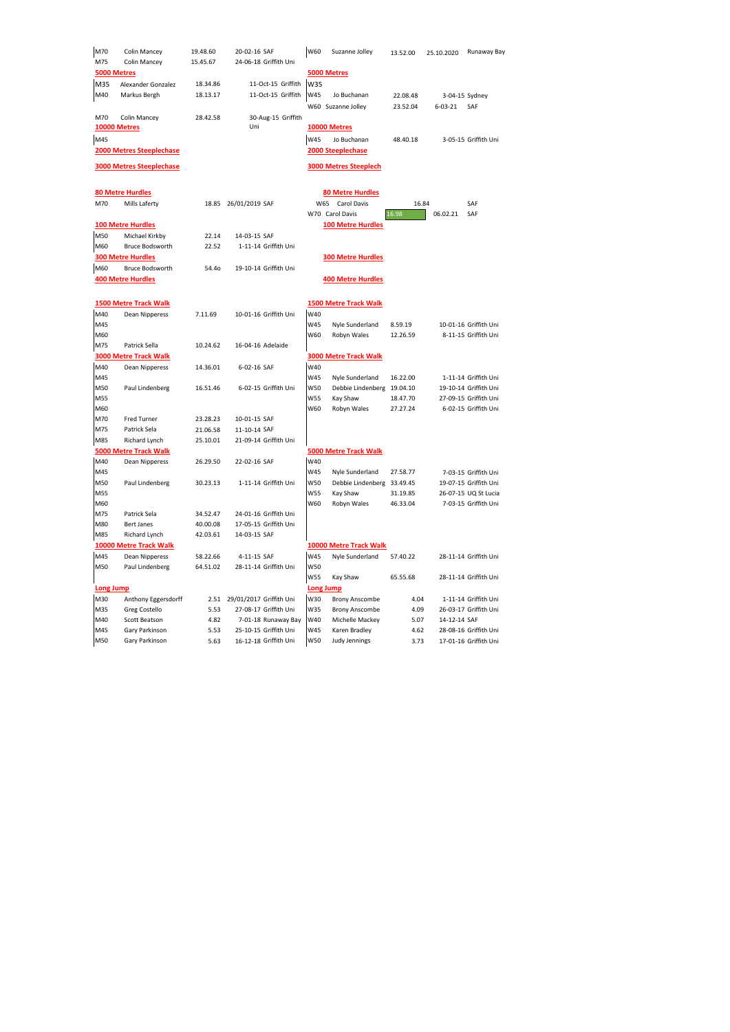| M70              | <b>Colin Mancey</b>                | 19.48.60     | 20-02-16 SAF                                 | W60        | Suzanne Jolley                           | 13.52.00     | 25.10.2020    | Runaway Bay           |
|------------------|------------------------------------|--------------|----------------------------------------------|------------|------------------------------------------|--------------|---------------|-----------------------|
| M75              | Colin Mancey                       | 15.45.67     | 24-06-18 Griffith Uni                        |            |                                          |              |               |                       |
|                  | 5000 Metres                        |              |                                              |            | 5000 Metres                              |              |               |                       |
| M35              | Alexander Gonzalez                 | 18.34.86     | 11-Oct-15 Griffith                           | W35        |                                          |              |               |                       |
| M40              | Markus Bergh                       | 18.13.17     | 11-Oct-15 Griffith                           | W45        | Jo Buchanan                              | 22.08.48     |               | 3-04-15 Sydney        |
|                  |                                    |              |                                              |            | W60 Suzanne Jolley                       | 23.52.04     | $6 - 03 - 21$ | SAF                   |
| M70              | <b>Colin Mancey</b>                | 28.42.58     | 30-Aug-15 Griffith                           |            |                                          |              |               |                       |
|                  | <b>10000 Metres</b>                |              | Uni                                          |            | 10000 Metres                             |              |               |                       |
| M45              |                                    |              |                                              | W45        | Jo Buchanan                              | 48.40.18     |               | 3-05-15 Griffith Uni  |
|                  | <b>2000 Metres Steeplechase</b>    |              |                                              |            | <b>2000 Steeplechase</b>                 |              |               |                       |
|                  |                                    |              |                                              |            |                                          |              |               |                       |
|                  | <b>3000 Metres Steeplechase</b>    |              |                                              |            | <b>3000 Metres Steeplech</b>             |              |               |                       |
|                  | <b>80 Metre Hurdles</b>            |              |                                              |            | <b>80 Metre Hurdles</b>                  |              |               |                       |
| M70              | Mills Laferty                      | 18.85        | 26/01/2019 SAF                               | W65        | Carol Davis                              | 16.84        |               | SAF                   |
|                  |                                    |              |                                              |            | W70 Carol Davis                          | 16.98        | 06.02.21      | SAF                   |
|                  | <b>100 Metre Hurdles</b>           |              |                                              |            | <b>100 Metre Hurdles</b>                 |              |               |                       |
| M50              | Michael Kirkby                     | 22.14        | 14-03-15 SAF                                 |            |                                          |              |               |                       |
| M60              | <b>Bruce Bodsworth</b>             | 22.52        | 1-11-14 Griffith Uni                         |            |                                          |              |               |                       |
|                  | <b>300 Metre Hurdles</b>           |              |                                              |            | <b>300 Metre Hurdles</b>                 |              |               |                       |
| M60              | <b>Bruce Bodsworth</b>             | 54.40        | 19-10-14 Griffith Uni                        |            |                                          |              |               |                       |
|                  | <b>400 Metre Hurdles</b>           |              |                                              |            | <b>400 Metre Hurdles</b>                 |              |               |                       |
|                  | <b>1500 Metre Track Walk</b>       |              |                                              |            | <b>1500 Metre Track Walk</b>             |              |               |                       |
| M40              | Dean Nipperess                     | 7.11.69      | 10-01-16 Griffith Uni                        | W40        |                                          |              |               |                       |
| M45              |                                    |              |                                              | W45        | Nyle Sunderland                          | 8.59.19      |               | 10-01-16 Griffith Uni |
| M60              |                                    |              |                                              | W60        | Robyn Wales                              | 12.26.59     |               | 8-11-15 Griffith Uni  |
| M75              | Patrick Sella                      | 10.24.62     | 16-04-16 Adelaide                            |            |                                          |              |               |                       |
|                  | <b>3000 Metre Track Walk</b>       |              |                                              |            | <b>3000 Metre Track Walk</b>             |              |               |                       |
| M40              | Dean Nipperess                     | 14.36.01     | 6-02-16 SAF                                  | W40        |                                          |              |               |                       |
| M45              |                                    |              |                                              | W45        | Nyle Sunderland                          | 16.22.00     |               | 1-11-14 Griffith Uni  |
| M50              | Paul Lindenberg                    | 16.51.46     | 6-02-15 Griffith Uni                         | W50        | Debbie Lindenberg                        | 19.04.10     |               | 19-10-14 Griffith Uni |
| M55              |                                    |              |                                              | W55        | Kay Shaw                                 | 18.47.70     |               | 27-09-15 Griffith Uni |
| M60              |                                    |              |                                              | W60        | Robyn Wales                              | 27.27.24     |               | 6-02-15 Griffith Uni  |
| M70              | <b>Fred Turner</b>                 | 23.28.23     | 10-01-15 SAF                                 |            |                                          |              |               |                       |
| M75              | Patrick Sela                       | 21.06.58     | 11-10-14 SAF                                 |            |                                          |              |               |                       |
| M85              | Richard Lynch                      | 25.10.01     | 21-09-14 Griffith Uni                        |            |                                          |              |               |                       |
|                  | <b>5000 Metre Track Walk</b>       |              |                                              |            | <b>5000 Metre Track Walk</b>             |              |               |                       |
| M40              | Dean Nipperess                     | 26.29.50     | 22-02-16 SAF                                 | W40        |                                          |              |               |                       |
| M45              |                                    |              |                                              | W45        | Nyle Sunderland                          | 27.58.77     |               | 7-03-15 Griffith Uni  |
| M50              | Paul Lindenberg                    | 30.23.13     | 1-11-14 Griffith Uni                         | W50        | Debbie Lindenberg                        | 33.49.45     |               | 19-07-15 Griffith Uni |
| M55              |                                    |              |                                              | <b>W55</b> | Kay Shaw                                 | 31.19.85     |               | 26-07-15 UQ St Lucia  |
| M60              |                                    |              |                                              | W60        | Robyn Wales                              | 46.33.04     |               | 7-03-15 Griffith Uni  |
| M75              | Patrick Sela                       | 34.52.47     | 24-01-16 Griffith Uni                        |            |                                          |              |               |                       |
| M80<br>M85       | <b>Bert Janes</b><br>Richard Lynch | 40.00.08     | 17-05-15 Griffith Uni                        |            |                                          |              |               |                       |
|                  |                                    | 42.03.61     | 14-03-15 SAF                                 |            |                                          |              |               |                       |
|                  | 10000 Metre Track Walk             |              |                                              |            | 10000 Metre Track Walk                   |              |               |                       |
| M45              | Dean Nipperess                     | 58.22.66     | 4-11-15 SAF                                  | W45        | Nyle Sunderland                          | 57.40.22     |               | 28-11-14 Griffith Uni |
| M50              | Paul Lindenberg                    | 64.51.02     | 28-11-14 Griffith Uni                        | W50        |                                          |              |               |                       |
|                  |                                    |              |                                              | W55        | Kay Shaw                                 | 65.55.68     |               | 28-11-14 Griffith Uni |
| <b>Long Jump</b> |                                    |              |                                              |            | Long Jump                                |              |               |                       |
| M30              | Anthony Eggersdorff                | 2.51         | 29/01/2017 Griffith Uni                      | W30<br>W35 | <b>Brony Anscombe</b>                    | 4.04         |               | 1-11-14 Griffith Uni  |
| M35<br>M40       | Greg Costello<br>Scott Beatson     | 5.53<br>4.82 | 27-08-17 Griffith Uni                        | W40        | <b>Brony Anscombe</b><br>Michelle Mackey | 4.09<br>5.07 |               | 26-03-17 Griffith Uni |
| M45              | Gary Parkinson                     | 5.53         | 7-01-18 Runaway Bay<br>25-10-15 Griffith Uni | W45        | Karen Bradley                            | 4.62         | 14-12-14 SAF  | 28-08-16 Griffith Uni |
| M50              | Gary Parkinson                     | 5.63         | 16-12-18 Griffith Uni                        | W50        | Judy Jennings                            | 3.73         |               | 17-01-16 Griffith Uni |
|                  |                                    |              |                                              |            |                                          |              |               |                       |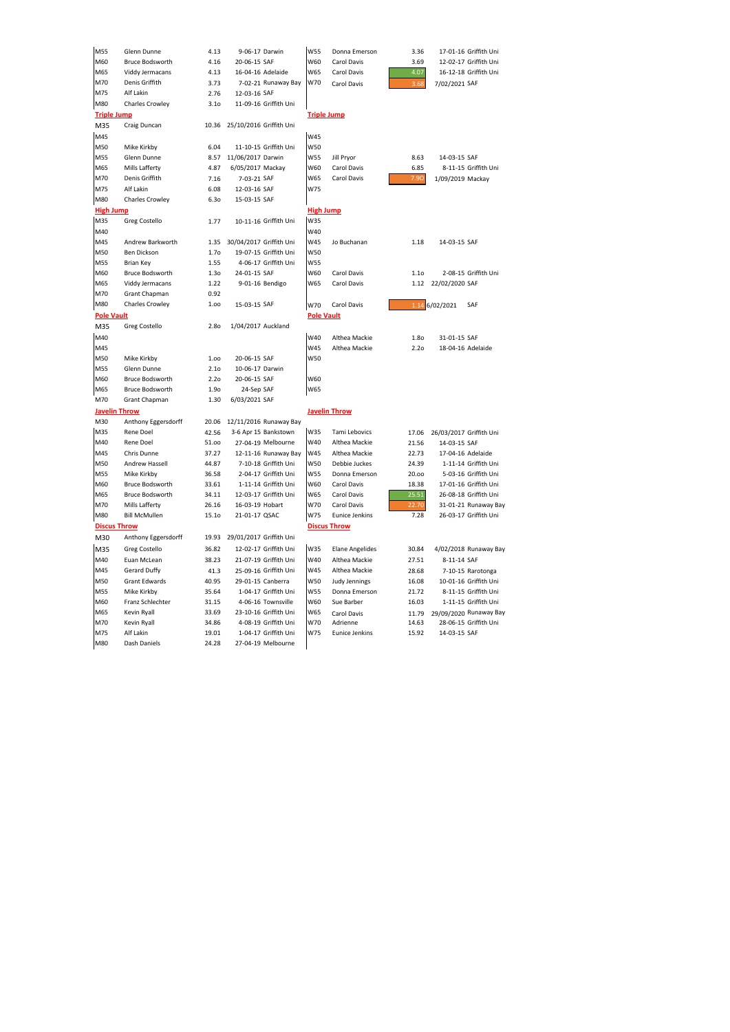| M55                | Glenn Dunne            | 4.13             | 9-06-17 Darwin                | W55               | Donna Emerson          | 3.36             | 17-01-16 Griffith Uni         |  |
|--------------------|------------------------|------------------|-------------------------------|-------------------|------------------------|------------------|-------------------------------|--|
| M60                | <b>Bruce Bodsworth</b> | 4.16             | 20-06-15 SAF                  | W60               | Carol Davis            | 3.69             | 12-02-17 Griffith Uni         |  |
| M65                | Viddy Jermacans        | 4.13             | 16-04-16 Adelaide             | W65               | Carol Davis            | 4.07             | 16-12-18 Griffith Uni         |  |
| M70                | Denis Griffith         | 3.73             | 7-02-21 Runaway Bay           | W70               | Carol Davis            | 3.68             | 7/02/2021 SAF                 |  |
| M75                | Alf Lakin              | 2.76             | 12-03-16 SAF                  |                   |                        |                  |                               |  |
| M80                | <b>Charles Crowley</b> | 3.1 <sub>0</sub> | 11-09-16 Griffith Uni         |                   |                        |                  |                               |  |
| <b>Triple Jump</b> |                        |                  |                               |                   | <b>Triple Jump</b>     |                  |                               |  |
| M35                | Craig Duncan           | 10.36            | 25/10/2016 Griffith Uni       |                   |                        |                  |                               |  |
| M45                |                        |                  |                               | W45               |                        |                  |                               |  |
| M50                | Mike Kirkby            | 6.04             | 11-10-15 Griffith Uni         | <b>W50</b>        |                        |                  |                               |  |
| M55                | Glenn Dunne            |                  | 8.57 11/06/2017 Darwin        | <b>W55</b>        | Jill Pryor             | 8.63             | 14-03-15 SAF                  |  |
| M65                | Mills Lafferty         | 4.87             | 6/05/2017 Mackay              | W60               | Carol Davis            | 6.85             | 8-11-15 Griffith Uni          |  |
| M70                | Denis Griffith         | 7.16             | 7-03-21 SAF                   | W65               | Carol Davis            | 7.90             | 1/09/2019 Mackay              |  |
| M75                | Alf Lakin              | 6.08             | 12-03-16 SAF                  | W75               |                        |                  |                               |  |
| M80                | <b>Charles Crowley</b> | 6.3 <sub>0</sub> | 15-03-15 SAF                  |                   |                        |                  |                               |  |
| <b>High Jump</b>   |                        |                  |                               |                   | <b>High Jump</b>       |                  |                               |  |
| M35                | Greg Costello          | 1.77             | 10-11-16 Griffith Uni         | W35               |                        |                  |                               |  |
| M40                |                        |                  |                               | W40               |                        |                  |                               |  |
| M45                | Andrew Barkworth       |                  | 1.35 30/04/2017 Griffith Uni  | W45               | Jo Buchanan            | 1.18             | 14-03-15 SAF                  |  |
| M50                | Ben Dickson            | 1.7 <sub>o</sub> | 19-07-15 Griffith Uni         | <b>W50</b>        |                        |                  |                               |  |
| M55                | <b>Brian Key</b>       | 1.55             | 4-06-17 Griffith Uni          | W55               |                        |                  |                               |  |
| M60                | <b>Bruce Bodsworth</b> | 1.3 <sub>0</sub> | 24-01-15 SAF                  | W60               | Carol Davis            | 1.1 <sub>0</sub> | 2-08-15 Griffith Uni          |  |
| M65                | Viddy Jermacans        | 1.22             | 9-01-16 Bendigo               | W65               | Carol Davis            |                  | 1.12 22/02/2020 SAF           |  |
| M70                | Grant Chapman          | 0.92             |                               |                   |                        |                  |                               |  |
| M80                | <b>Charles Crowley</b> | 1.00             | 15-03-15 SAF                  | <b>W70</b>        | Carol Davis            |                  | 1.14 6/02/2021<br>SAF         |  |
| <b>Pole Vault</b>  |                        |                  |                               | <b>Pole Vault</b> |                        |                  |                               |  |
| M35                | Greg Costello          | 2.8o             | 1/04/2017 Auckland            |                   |                        |                  |                               |  |
| M40                |                        |                  |                               | W40               | Althea Mackie          | <b>1.80</b>      | 31-01-15 SAF                  |  |
| M45                |                        |                  |                               | W45               | Althea Mackie          | 2.2 <sub>O</sub> | 18-04-16 Adelaide             |  |
| M50                | Mike Kirkby            | 1.00             | 20-06-15 SAF                  | W50               |                        |                  |                               |  |
| M55                | Glenn Dunne            | 2.1 <sub>0</sub> | 10-06-17 Darwin               |                   |                        |                  |                               |  |
| M60                | <b>Bruce Bodsworth</b> | 2.2 <sub>O</sub> | 20-06-15 SAF                  | W60               |                        |                  |                               |  |
| M65                | <b>Bruce Bodsworth</b> | 1.90             | 24-Sep SAF                    | W65               |                        |                  |                               |  |
| M70                | Grant Chapman          | 1.30             | 6/03/2021 SAF                 |                   |                        |                  |                               |  |
|                    | <b>Javelin Throw</b>   |                  |                               |                   | <b>Javelin Throw</b>   |                  |                               |  |
| M30                | Anthony Eggersdorff    | 20.06            | 12/11/2016 Runaway Bay        |                   |                        |                  |                               |  |
| M35                | Rene Doel              | 42.56            | 3-6 Apr 15 Bankstown          | W35               | Tami Lebovics          |                  | 17.06 26/03/2017 Griffith Uni |  |
| M40                | Rene Doel              | 51.00            | 27-04-19 Melbourne            | W40               | Althea Mackie          | 21.56            | 14-03-15 SAF                  |  |
| M45                | Chris Dunne            | 37.27            | 12-11-16 Runaway Bay          | W45               | Althea Mackie          | 22.73            | 17-04-16 Adelaide             |  |
| M50                | Andrew Hassell         | 44.87            | 7-10-18 Griffith Uni          | W50               | Debbie Juckes          | 24.39            | 1-11-14 Griffith Uni          |  |
| M55                | Mike Kirkby            | 36.58            | 2-04-17 Griffith Uni          | W55               | Donna Emerson          | 20.00            | 5-03-16 Griffith Uni          |  |
| M60                | <b>Bruce Bodsworth</b> | 33.61            | 1-11-14 Griffith Uni          | W60               | Carol Davis            | 18.38            | 17-01-16 Griffith Uni         |  |
| M65                | <b>Bruce Bodsworth</b> | 34.11            | 12-03-17 Griffith Uni         | W65               | Carol Davis            | 25.51            | 26-08-18 Griffith Uni         |  |
| M70                | Mills Lafferty         | 26.16            | 16-03-19 Hobart               | W70               | Carol Davis            | 22.70            | 31-01-21 Runaway Bay          |  |
| M80                | <b>Bill McMullen</b>   | 15.1o            | 21-01-17 QSAC                 | W75               | Eunice Jenkins         | 7.28             | 26-03-17 Griffith Uni         |  |
|                    | <b>Discus Throw</b>    |                  |                               |                   | <b>Discus Throw</b>    |                  |                               |  |
| M30                | Anthony Eggersdorff    |                  | 19.93 29/01/2017 Griffith Uni |                   |                        |                  |                               |  |
| M35                | Greg Costello          | 36.82            | 12-02-17 Griffith Uni         | W35               | <b>Elane Angelides</b> | 30.84            | 4/02/2018 Runaway Bay         |  |
| M40                | Euan McLean            | 38.23            | 21-07-19 Griffith Uni         | W40               | Althea Mackie          | 27.51            | 8-11-14 SAF                   |  |
| M45                | Gerard Duffy           | 41.3             | 25-09-16 Griffith Uni         | W45               | Althea Mackie          | 28.68            | 7-10-15 Rarotonga             |  |
| M50                | Grant Edwards          | 40.95            | 29-01-15 Canberra             | <b>W50</b>        | Judy Jennings          | 16.08            | 10-01-16 Griffith Uni         |  |
| M55                | Mike Kirkby            | 35.64            | 1-04-17 Griffith Uni          | <b>W55</b>        | Donna Emerson          | 21.72            | 8-11-15 Griffith Uni          |  |
| M60                | Franz Schlechter       | 31.15            | 4-06-16 Townsville            | W60               | Sue Barber             | 16.03            | 1-11-15 Griffith Uni          |  |
| M65                | Kevin Ryall            | 33.69            | 23-10-16 Griffith Uni         | W65               | Carol Davis            | 11.79            | 29/09/2020 Runaway Bay        |  |
| M70                | Kevin Ryall            | 34.86            | 4-08-19 Griffith Uni          | W70               | Adrienne               | 14.63            | 28-06-15 Griffith Uni         |  |
| M75                | Alf Lakin              | 19.01            | 1-04-17 Griffith Uni          | W75               | <b>Eunice Jenkins</b>  | 15.92            | 14-03-15 SAF                  |  |
| M80                | Dash Daniels           | 24.28            | 27-04-19 Melbourne            |                   |                        |                  |                               |  |
|                    |                        |                  |                               |                   |                        |                  |                               |  |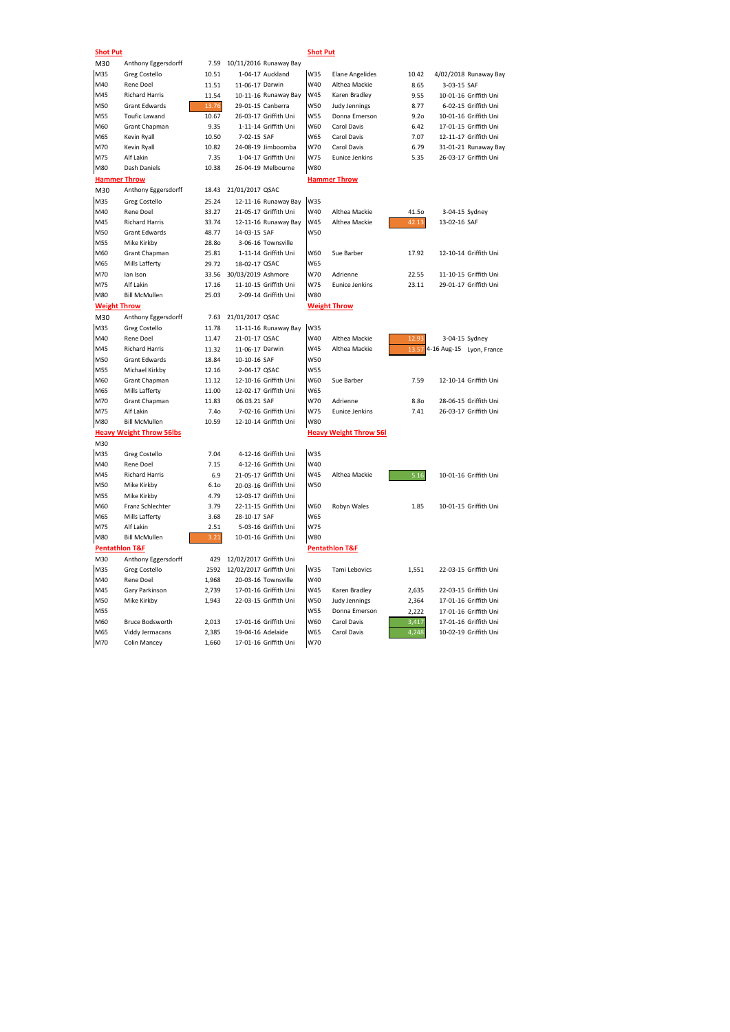| <b>Shot Put</b>     |                                 |                  |                         | <b>Shot Put</b> |                               |                  |                          |
|---------------------|---------------------------------|------------------|-------------------------|-----------------|-------------------------------|------------------|--------------------------|
| M30                 | Anthony Eggersdorff             | 7.59             | 10/11/2016 Runaway Bay  |                 |                               |                  |                          |
| M35                 | <b>Greg Costello</b>            | 10.51            | 1-04-17 Auckland        | W35             | <b>Elane Angelides</b>        | 10.42            | 4/02/2018 Runaway Bay    |
| M40                 | Rene Doel                       | 11.51            | 11-06-17 Darwin         | W40             | Althea Mackie                 | 8.65             | 3-03-15 SAF              |
| M45                 | <b>Richard Harris</b>           | 11.54            | 10-11-16 Runaway Bay    | W45             | Karen Bradley                 | 9.55             | 10-01-16 Griffith Uni    |
| M50                 | <b>Grant Edwards</b>            | 13.76            | 29-01-15 Canberra       | W50             | Judy Jennings                 | 8.77             | 6-02-15 Griffith Uni     |
| M55                 | <b>Toufic Lawand</b>            | 10.67            | 26-03-17 Griffith Uni   | W55             | Donna Emerson                 | 9.2 <sub>0</sub> | 10-01-16 Griffith Uni    |
| M60                 | Grant Chapman                   | 9.35             | 1-11-14 Griffith Uni    | W60             | Carol Davis                   | 6.42             | 17-01-15 Griffith Uni    |
| M65                 | Kevin Ryall                     | 10.50            | 7-02-15 SAF             | W65             | Carol Davis                   | 7.07             | 12-11-17 Griffith Uni    |
| M70                 | Kevin Ryall                     | 10.82            | 24-08-19 Jimboomba      | W70             | Carol Davis                   | 6.79             | 31-01-21 Runaway Bay     |
| M75                 | Alf Lakin                       | 7.35             | 1-04-17 Griffith Uni    | W75             | <b>Eunice Jenkins</b>         | 5.35             | 26-03-17 Griffith Uni    |
| M80                 | Dash Daniels                    | 10.38            | 26-04-19 Melbourne      | W80             |                               |                  |                          |
|                     | <b>Hammer Throw</b>             |                  |                         |                 | <b>Hammer Throw</b>           |                  |                          |
| M30                 | Anthony Eggersdorff             | 18.43            | 21/01/2017 QSAC         |                 |                               |                  |                          |
| M35                 | <b>Greg Costello</b>            | 25.24            | 12-11-16 Runaway Bay    | W35             |                               |                  |                          |
| M40                 | Rene Doel                       | 33.27            | 21-05-17 Griffith Uni   | W40             | Althea Mackie                 | 41.5o            | 3-04-15 Sydney           |
| M45                 | <b>Richard Harris</b>           | 33.74            | 12-11-16 Runaway Bay    | W45             | Althea Mackie                 | 42.13            | 13-02-16 SAF             |
| M50                 | <b>Grant Edwards</b>            | 48.77            | 14-03-15 SAF            | W50             |                               |                  |                          |
| M55                 | Mike Kirkby                     | 28.8o            | 3-06-16 Townsville      |                 |                               |                  |                          |
| M60                 | Grant Chapman                   | 25.81            | 1-11-14 Griffith Uni    | W60             | Sue Barber                    | 17.92            | 12-10-14 Griffith Uni    |
| M65                 | Mills Lafferty                  | 29.72            | 18-02-17 QSAC           | W65             |                               |                  |                          |
| M70                 | lan Ison                        | 33.56            | 30/03/2019 Ashmore      | W70             | Adrienne                      | 22.55            | 11-10-15 Griffith Uni    |
| M75                 | Alf Lakin                       | 17.16            | 11-10-15 Griffith Uni   | W75             | <b>Eunice Jenkins</b>         | 23.11            | 29-01-17 Griffith Uni    |
| M80                 | <b>Bill McMullen</b>            | 25.03            | 2-09-14 Griffith Uni    | W80             |                               |                  |                          |
| <b>Weight Throw</b> |                                 |                  |                         |                 | <b>Weight Throw</b>           |                  |                          |
| M30                 | Anthony Eggersdorff             | 7.63             | 21/01/2017 QSAC         |                 |                               |                  |                          |
| M35                 | <b>Greg Costello</b>            | 11.78            | 11-11-16 Runaway Bay    | W35             |                               |                  |                          |
| M40                 | Rene Doel                       | 11.47            | 21-01-17 QSAC           | W40             | Althea Mackie                 | 12.93            | 3-04-15 Sydney           |
| M45                 | <b>Richard Harris</b>           | 11.32            | 11-06-17 Darwin         | W45             | Althea Mackie                 | 13.57            | 4-16 Aug-15 Lyon, France |
| M50                 | <b>Grant Edwards</b>            | 18.84            | 10-10-16 SAF            | W50             |                               |                  |                          |
| M55                 | Michael Kirkby                  | 12.16            | 2-04-17 QSAC            | W55             |                               |                  |                          |
| M60                 | Grant Chapman                   | 11.12            | 12-10-16 Griffith Uni   | W60             | Sue Barber                    | 7.59             | 12-10-14 Griffith Uni    |
| M65                 | Mills Lafferty                  | 11.00            | 12-02-17 Griffith Uni   | W65             |                               |                  |                          |
| M70                 | Grant Chapman                   | 11.83            | 06.03.21 SAF            | W70             | Adrienne                      | <b>8.80</b>      | 28-06-15 Griffith Uni    |
| M75                 | Alf Lakin                       | 7.4o             | 7-02-16 Griffith Uni    | W75             | <b>Eunice Jenkins</b>         | 7.41             | 26-03-17 Griffith Uni    |
| M80                 | <b>Bill McMullen</b>            | 10.59            | 12-10-14 Griffith Uni   | W80             |                               |                  |                          |
|                     | <b>Heavy Weight Throw 56lbs</b> |                  |                         |                 | <b>Heavy Weight Throw 56I</b> |                  |                          |
| M30                 |                                 |                  |                         |                 |                               |                  |                          |
| M35                 | Greg Costello                   | 7.04             | 4-12-16 Griffith Uni    | W35             |                               |                  |                          |
| M40                 | Rene Doel                       | 7.15             | 4-12-16 Griffith Uni    | W40             |                               |                  |                          |
| M45                 | <b>Richard Harris</b>           | 6.9              | 21-05-17 Griffith Uni   | W45             | Althea Mackie                 | $5.16$           | 10-01-16 Griffith Uni    |
| M50                 | Mike Kirkby                     | 6.1 <sub>0</sub> | 20-03-16 Griffith Uni   | W50             |                               |                  |                          |
| M55                 | Mike Kirkby                     | 4.79             | 12-03-17 Griffith Uni   |                 |                               |                  |                          |
| M60                 | Franz Schlechter                | 3.79             | 22-11-15 Griffith Uni   | W60             | Robyn Wales                   | 1.85             | 10-01-15 Griffith Uni    |
| M65                 | Mills Lafferty                  | 3.68             | 28-10-17 SAF            | W65             |                               |                  |                          |
| M75                 | Alf Lakin                       | 2.51             | 5-03-16 Griffith Uni    | W75             |                               |                  |                          |
| M80                 | <b>Bill McMullen</b>            | 3.21             | 10-01-16 Griffith Uni   | W80             |                               |                  |                          |
|                     | <b>Pentathion T&amp;F</b>       |                  |                         |                 | <b>Pentathlon T&amp;F</b>     |                  |                          |
| M30                 | Anthony Eggersdorff             | 429              | 12/02/2017 Griffith Uni |                 |                               |                  |                          |
| M35                 | Greg Costello                   | 2592             | 12/02/2017 Griffith Uni | W35             | Tami Lebovics                 | 1,551            | 22-03-15 Griffith Uni    |
| M40                 | Rene Doel                       | 1,968            | 20-03-16 Townsville     | W40             |                               |                  |                          |
| M45                 | Gary Parkinson                  | 2,739            | 17-01-16 Griffith Uni   | W45             | Karen Bradley                 | 2,635            | 22-03-15 Griffith Uni    |
| M50                 | Mike Kirkby                     | 1,943            | 22-03-15 Griffith Uni   | W50             | Judy Jennings                 | 2,364            | 17-01-16 Griffith Uni    |
| M55                 |                                 |                  |                         | W55             | Donna Emerson                 | 2,222            | 17-01-16 Griffith Uni    |
| M60                 | <b>Bruce Bodsworth</b>          | 2,013            | 17-01-16 Griffith Uni   | W60             | Carol Davis                   | 3,417            | 17-01-16 Griffith Uni    |
| M65                 | Viddy Jermacans                 | 2,385            | 19-04-16 Adelaide       | W65             | Carol Davis                   | 4,248            | 10-02-19 Griffith Uni    |
| M70                 | <b>Colin Mancey</b>             | 1,660            | 17-01-16 Griffith Uni   | W70             |                               |                  |                          |
|                     |                                 |                  |                         |                 |                               |                  |                          |